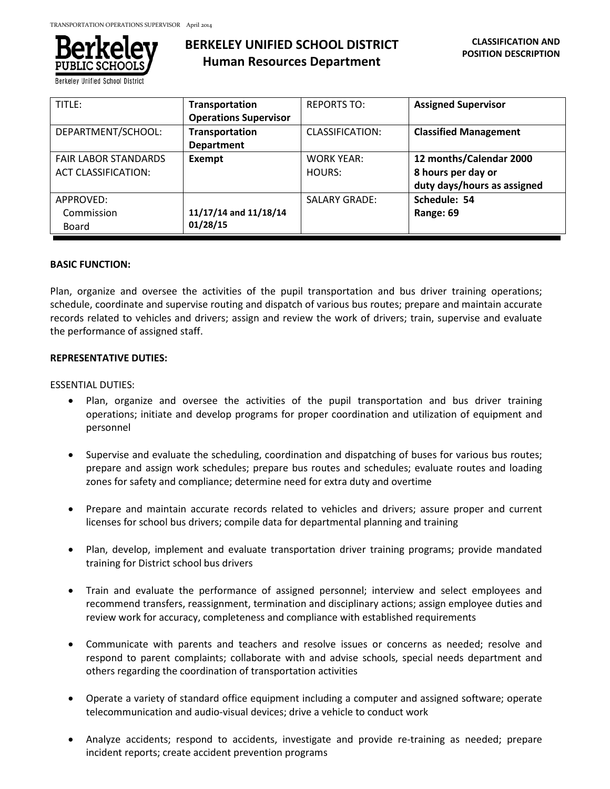

**Berkeley Unified School Distric** 

| TITLE:                      | Transportation               | <b>REPORTS TO:</b>   | <b>Assigned Supervisor</b>   |
|-----------------------------|------------------------------|----------------------|------------------------------|
|                             | <b>Operations Supervisor</b> |                      |                              |
| DEPARTMENT/SCHOOL:          | <b>Transportation</b>        | CLASSIFICATION:      | <b>Classified Management</b> |
|                             | <b>Department</b>            |                      |                              |
| <b>FAIR LABOR STANDARDS</b> | Exempt                       | <b>WORK YEAR:</b>    | 12 months/Calendar 2000      |
| <b>ACT CLASSIFICATION:</b>  |                              | HOURS:               | 8 hours per day or           |
|                             |                              |                      | duty days/hours as assigned  |
| APPROVED:                   |                              | <b>SALARY GRADE:</b> | Schedule: 54                 |
| Commission                  | 11/17/14 and 11/18/14        |                      | Range: 69                    |
| Board                       | 01/28/15                     |                      |                              |

## **BASIC FUNCTION:**

Plan, organize and oversee the activities of the pupil transportation and bus driver training operations; schedule, coordinate and supervise routing and dispatch of various bus routes; prepare and maintain accurate records related to vehicles and drivers; assign and review the work of drivers; train, supervise and evaluate the performance of assigned staff.

## **REPRESENTATIVE DUTIES:**

## ESSENTIAL DUTIES:

- Plan, organize and oversee the activities of the pupil transportation and bus driver training operations; initiate and develop programs for proper coordination and utilization of equipment and personnel
- Supervise and evaluate the scheduling, coordination and dispatching of buses for various bus routes; prepare and assign work schedules; prepare bus routes and schedules; evaluate routes and loading zones for safety and compliance; determine need for extra duty and overtime
- Prepare and maintain accurate records related to vehicles and drivers; assure proper and current licenses for school bus drivers; compile data for departmental planning and training
- Plan, develop, implement and evaluate transportation driver training programs; provide mandated training for District school bus drivers
- Train and evaluate the performance of assigned personnel; interview and select employees and recommend transfers, reassignment, termination and disciplinary actions; assign employee duties and review work for accuracy, completeness and compliance with established requirements
- Communicate with parents and teachers and resolve issues or concerns as needed; resolve and respond to parent complaints; collaborate with and advise schools, special needs department and others regarding the coordination of transportation activities
- Operate a variety of standard office equipment including a computer and assigned software; operate telecommunication and audio-visual devices; drive a vehicle to conduct work
- Analyze accidents; respond to accidents, investigate and provide re-training as needed; prepare incident reports; create accident prevention programs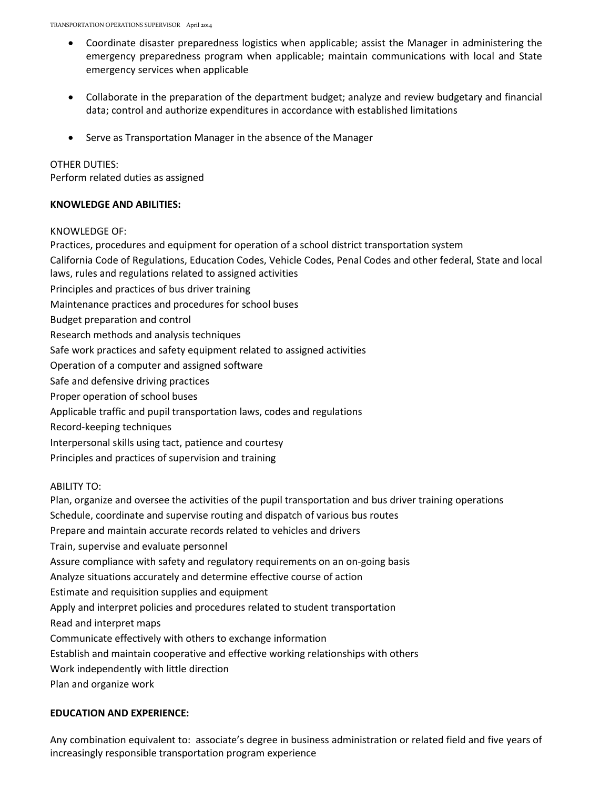- Coordinate disaster preparedness logistics when applicable; assist the Manager in administering the emergency preparedness program when applicable; maintain communications with local and State emergency services when applicable
- Collaborate in the preparation of the department budget; analyze and review budgetary and financial data; control and authorize expenditures in accordance with established limitations
- Serve as Transportation Manager in the absence of the Manager

## OTHER DUTIES:

Perform related duties as assigned

## **KNOWLEDGE AND ABILITIES:**

#### KNOWLEDGE OF:

Practices, procedures and equipment for operation of a school district transportation system

California Code of Regulations, Education Codes, Vehicle Codes, Penal Codes and other federal, State and local laws, rules and regulations related to assigned activities

- Principles and practices of bus driver training
- Maintenance practices and procedures for school buses
- Budget preparation and control
- Research methods and analysis techniques
- Safe work practices and safety equipment related to assigned activities
- Operation of a computer and assigned software
- Safe and defensive driving practices
- Proper operation of school buses
- Applicable traffic and pupil transportation laws, codes and regulations
- Record-keeping techniques
- Interpersonal skills using tact, patience and courtesy
- Principles and practices of supervision and training

#### ABILITY TO:

Plan, organize and oversee the activities of the pupil transportation and bus driver training operations Schedule, coordinate and supervise routing and dispatch of various bus routes Prepare and maintain accurate records related to vehicles and drivers Train, supervise and evaluate personnel Assure compliance with safety and regulatory requirements on an on-going basis Analyze situations accurately and determine effective course of action Estimate and requisition supplies and equipment Apply and interpret policies and procedures related to student transportation Read and interpret maps Communicate effectively with others to exchange information Establish and maintain cooperative and effective working relationships with others Work independently with little direction Plan and organize work

#### **EDUCATION AND EXPERIENCE:**

Any combination equivalent to: associate's degree in business administration or related field and five years of increasingly responsible transportation program experience